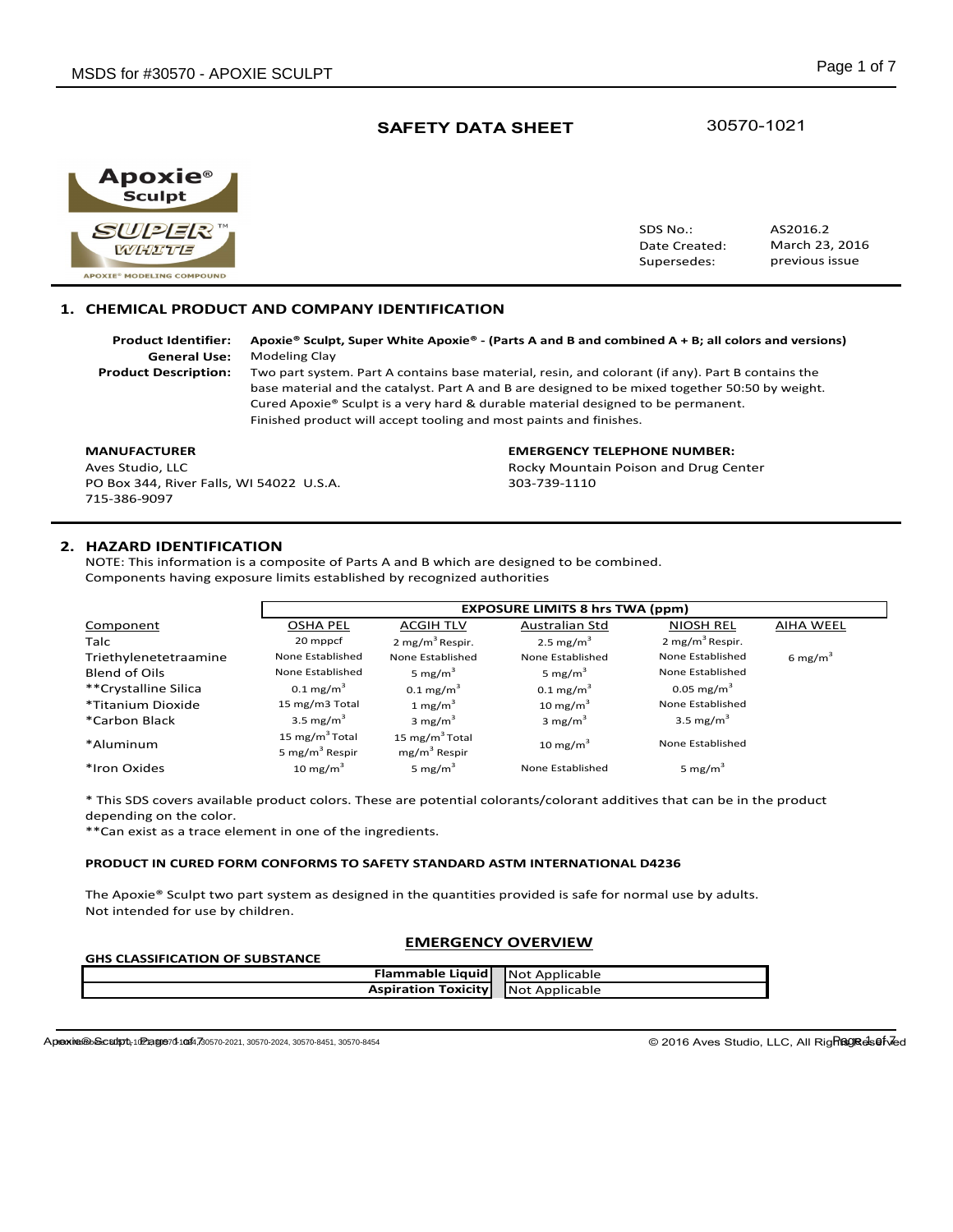Apoxie® **Sculpt** SUPER **WHITE APOXIE® MODELING COMPOUND** 

SDS No.: Date Created: Supersedes: March 23, 2016 AS2016.2 previous issue

## **1. CHEMICAL PRODUCT AND COMPANY IDENTIFICATION**

**Product Identifier: Apoxie® Sculpt, Super White Apoxie® - (Parts A and B and combined A + B; all colors and versions) General Use:** Modeling Clay

**Product Description:** Two part system. Part A contains base material, resin, and colorant (if any). Part B contains the base material and the catalyst. Part A and B are designed to be mixed together 50:50 by weight. Cured Apoxie® Sculpt is a very hard & durable material designed to be permanent. Finished product will accept tooling and most paints and finishes.

PO Box 344, River Falls, WI 54022 U.S.A. 303-739-1110 715-386-9097

# **MANUFACTURER EMERGENCY TELEPHONE NUMBER:**

Aves Studio, LLC **Australian Controller Australian Poison and Drug Center** Rocky Mountain Poison and Drug Center

## **2. HAZARD IDENTIFICATION**

NOTE: This information is a composite of Parts A and B which are designed to be combined. Components having exposure limits established by recognized authorities

|                       | <b>EXPOSURE LIMITS 8 hrs TWA (ppm)</b>                   |                                              |                         |                             |                     |
|-----------------------|----------------------------------------------------------|----------------------------------------------|-------------------------|-----------------------------|---------------------|
| Component             | <b>OSHA PEL</b>                                          | <b>ACGIH TLV</b>                             | Australian Std          | <b>NIOSH REL</b>            | <b>AIHA WEEL</b>    |
| <b>Talc</b>           | 20 mppcf                                                 | 2 mg/m <sup>3</sup> Respir.                  | 2.5 mg/ $m3$            | 2 mg/m <sup>3</sup> Respir. |                     |
| Triethylenetetraamine | None Established                                         | None Established                             | None Established        | None Established            | 6 mg/m <sup>3</sup> |
| <b>Blend of Oils</b>  | None Established                                         | 5 mg/m <sup>3</sup>                          | 5 mg/ $m3$              | None Established            |                     |
| **Crystalline Silica  | $0.1 \text{ mg/m}^3$                                     | $0.1 \text{ mg/m}^3$                         | $0.1 \,\mathrm{mg/m}^3$ | 0.05 mg/m <sup>3</sup>      |                     |
| *Titanium Dioxide     | 15 mg/m3 Total                                           | 1 mg/m $3$                                   | 10 mg/m $3$             | None Established            |                     |
| *Carbon Black         | 3.5 mg/ $m3$                                             | 3 mg/m <sup>3</sup>                          | 3 mg/m <sup>3</sup>     | 3.5 mg/ $m3$                |                     |
| *Aluminum             | 15 mg/m <sup>3</sup> Total<br>5 mg/m <sup>3</sup> Respir | 15 mg/m <sup>3</sup> Total<br>$mg/m3$ Respir | 10 mg/m $3$             | None Established            |                     |
| *Iron Oxides          | 10 mg/m $3$                                              | 5 mg/m $3$                                   | None Established        | 5 mg/m <sup>3</sup>         |                     |

\* This SDS covers available product colors. These are potential colorants/colorant additives that can be in the product depending on the color.

\*\*Can exist as a trace element in one of the ingredients.

#### **PRODUCT IN CURED FORM CONFORMS TO SAFETY STANDARD ASTM INTERNATIONAL D4236**

The Apoxie® Sculpt two part system as designed in the quantities provided is safe for normal use by adults. Not intended for use by children.

## **EMERGENCY OVERVIEW**

| <b>SHIP CLASSIFICATION OF SUBSTAINCE</b> |                                        |                |
|------------------------------------------|----------------------------------------|----------------|
|                                          | <b>Flammable Liquid</b> Not Applicable |                |
|                                          | <b>Aspiration Toxicity</b>             | Not Applicable |

Appexie®കSculpt,102age701044,730570-2021, 30570-2024, 30570-8451, 30570-8454 Page 1 of Reserved 2016 Aves Studio, LLC, All Rig**Ragedsefv7ed** 

**GHS CLASSIFICATION OF SUBSTANCE**

30570-1021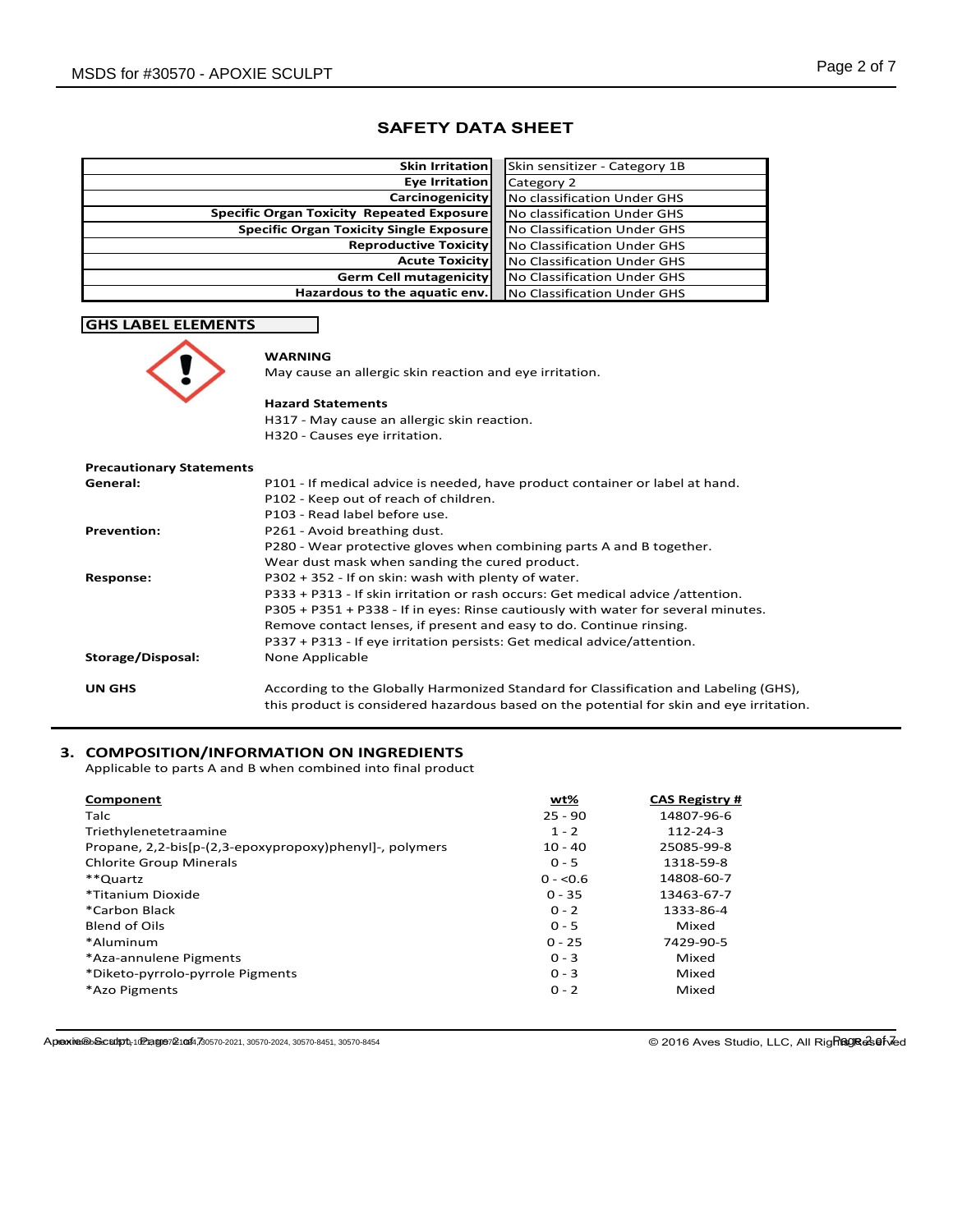| <b>Skin Irritation</b>                           | Skin sensitizer - Category 1B |
|--------------------------------------------------|-------------------------------|
| Eye Irritation                                   | Category 2                    |
| Carcinogenicity                                  | No classification Under GHS   |
| <b>Specific Organ Toxicity Repeated Exposure</b> | No classification Under GHS   |
| <b>Specific Organ Toxicity Single Exposure</b>   | No Classification Under GHS   |
| <b>Reproductive Toxicity</b>                     | No Classification Under GHS   |
| <b>Acute Toxicity</b>                            | No Classification Under GHS   |
| <b>Germ Cell mutagenicity</b>                    | No Classification Under GHS   |
| Hazardous to the aquatic env.                    | No Classification Under GHS   |

# **GHS LABEL ELEMENTS**



# **WARNING**

May cause an allergic skin reaction and eye irritation.

#### **Hazard Statements**

H317 - May cause an allergic skin reaction. H320 - Causes eye irritation.

| <b>Precautionary Statements</b> |                                                                                                                                                                                  |
|---------------------------------|----------------------------------------------------------------------------------------------------------------------------------------------------------------------------------|
| General:                        | P101 - If medical advice is needed, have product container or label at hand.                                                                                                     |
|                                 | P102 - Keep out of reach of children.                                                                                                                                            |
|                                 | P103 - Read label before use.                                                                                                                                                    |
| <b>Prevention:</b>              | P261 - Avoid breathing dust.                                                                                                                                                     |
|                                 | P280 - Wear protective gloves when combining parts A and B together.                                                                                                             |
|                                 | Wear dust mask when sanding the cured product.                                                                                                                                   |
| Response:                       | P302 + 352 - If on skin: wash with plenty of water.                                                                                                                              |
|                                 | P333 + P313 - If skin irritation or rash occurs: Get medical advice /attention.                                                                                                  |
|                                 | P305 + P351 + P338 - If in eyes: Rinse cautiously with water for several minutes.                                                                                                |
|                                 | Remove contact lenses, if present and easy to do. Continue rinsing.                                                                                                              |
|                                 | P337 + P313 - If eye irritation persists: Get medical advice/attention.                                                                                                          |
| Storage/Disposal:               | None Applicable                                                                                                                                                                  |
| <b>UN GHS</b>                   | According to the Globally Harmonized Standard for Classification and Labeling (GHS),<br>this product is considered hazardous based on the potential for skin and eye irritation. |

# **3. COMPOSITION/INFORMATION ON INGREDIENTS**

Applicable to parts A and B when combined into final product

| wt%        | <b>CAS Registry #</b> |
|------------|-----------------------|
| $25 - 90$  | 14807-96-6            |
| $1 - 2$    | $112 - 24 - 3$        |
| $10 - 40$  | 25085-99-8            |
| $0 - 5$    | 1318-59-8             |
| $0 - 50.6$ | 14808-60-7            |
| $0 - 35$   | 13463-67-7            |
| $0 - 2$    | 1333-86-4             |
| $0 - 5$    | Mixed                 |
| $0 - 25$   | 7429-90-5             |
| $0 - 3$    | Mixed                 |
| $0 - 3$    | Mixed                 |
| $0 - 2$    | Mixed                 |
|            |                       |

Apoxie® Sculpt, 102 age 21044, 30570-2021, 30570-2024, 30570-8451, 30570-8454

© 2016 Aves Studio, LLC, All Righagra 26 .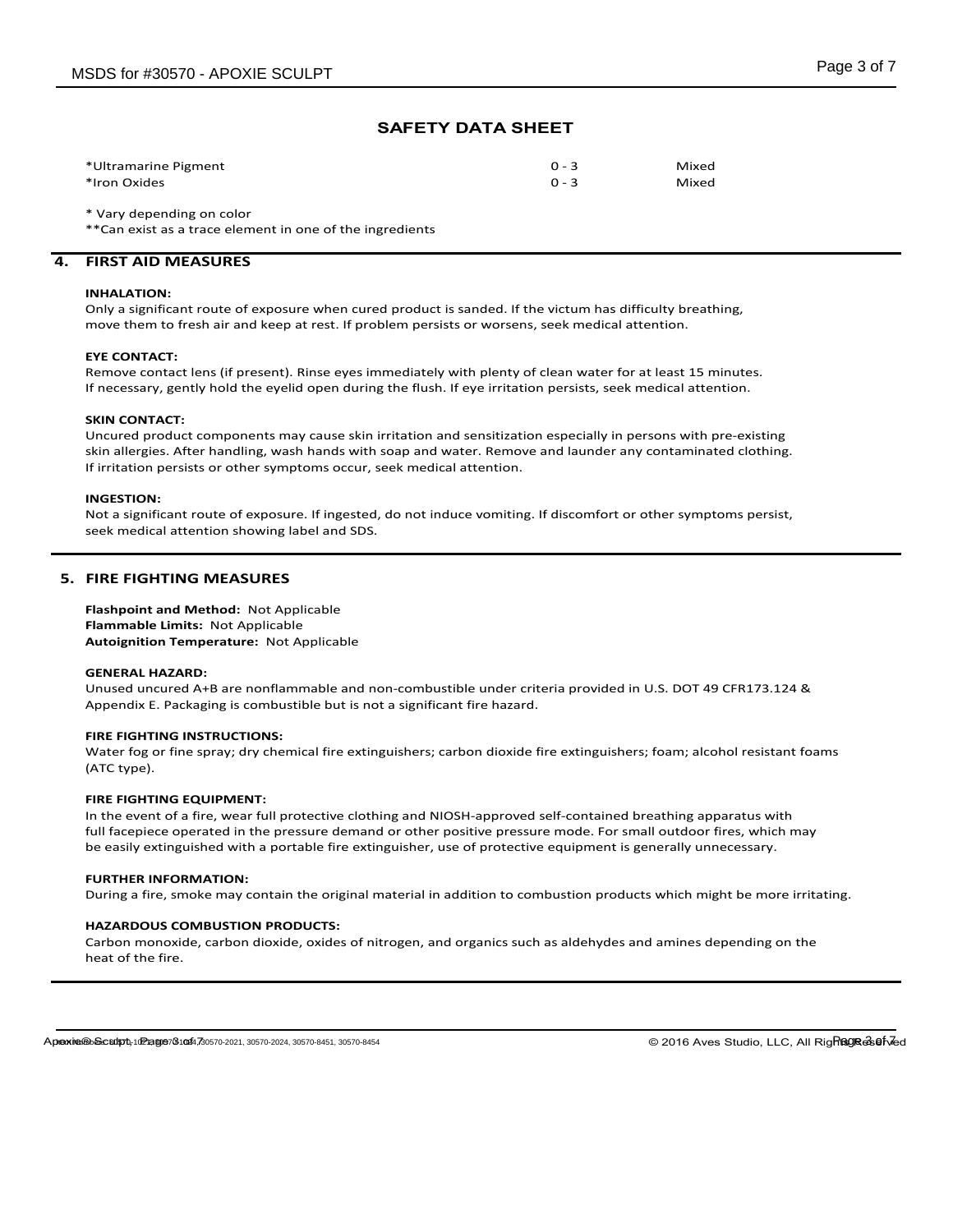| *Ultramarine Pigment | $0 - 3$ | Mixed |
|----------------------|---------|-------|
| *Iron Oxides         | $0 - 3$ | Mixed |

\* Vary depending on color

\*\*Can exist as a trace element in one of the ingredients

## **4. FIRST AID MEASURES**

#### **INHALATION:**

Only a significant route of exposure when cured product is sanded. If the victum has difficulty breathing, move them to fresh air and keep at rest. If problem persists or worsens, seek medical attention.

#### **EYE CONTACT:**

Remove contact lens (if present). Rinse eyes immediately with plenty of clean water for at least 15 minutes. If necessary, gently hold the eyelid open during the flush. If eye irritation persists, seek medical attention.

## **SKIN CONTACT:**

Uncured product components may cause skin irritation and sensitization especially in persons with pre-existing skin allergies. After handling, wash hands with soap and water. Remove and launder any contaminated clothing. If irritation persists or other symptoms occur, seek medical attention.

#### **INGESTION:**

Not a significant route of exposure. If ingested, do not induce vomiting. If discomfort or other symptoms persist, seek medical attention showing label and SDS.

## **5. FIRE FIGHTING MEASURES**

**Flashpoint and Method:** Not Applicable **Flammable Limits:** Not Applicable **Autoignition Temperature:** Not Applicable

#### **GENERAL HAZARD:**

Unused uncured A+B are nonflammable and non-combustible under criteria provided in U.S. DOT 49 CFR173.124 & Appendix E. Packaging is combustible but is not a significant fire hazard.

## **FIRE FIGHTING INSTRUCTIONS:**

Water fog or fine spray; dry chemical fire extinguishers; carbon dioxide fire extinguishers; foam; alcohol resistant foams (ATC type).

#### **FIRE FIGHTING EQUIPMENT:**

In the event of a fire, wear full protective clothing and NIOSH-approved self-contained breathing apparatus with full facepiece operated in the pressure demand or other positive pressure mode. For small outdoor fires, which may be easily extinguished with a portable fire extinguisher, use of protective equipment is generally unnecessary.

## **FURTHER INFORMATION:**

During a fire, smoke may contain the original material in addition to combustion products which might be more irritating.

#### **HAZARDOUS COMBUSTION PRODUCTS:**

Carbon monoxide, carbon dioxide, oxides of nitrogen, and organics such as aldehydes and amines depending on the heat of the fire.

© 2016 Aves Studio, LLC, All RigRagrasefved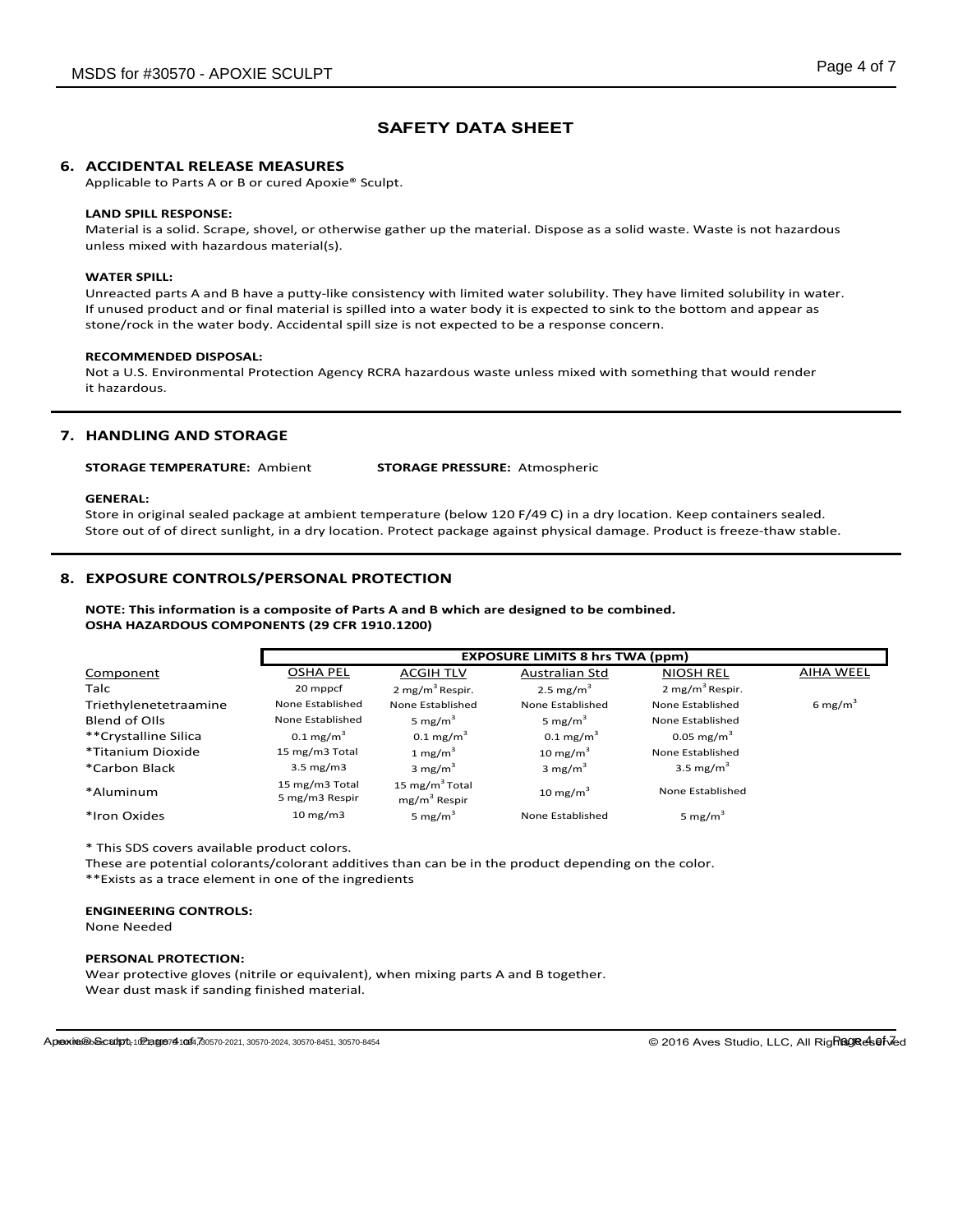## **6. ACCIDENTAL RELEASE MEASURES**

Applicable to Parts A or B or cured Apoxie® Sculpt.

#### **LAND SPILL RESPONSE:**

Material is a solid. Scrape, shovel, or otherwise gather up the material. Dispose as a solid waste. Waste is not hazardous unless mixed with hazardous material(s).

#### **WATER SPILL:**

Unreacted parts A and B have a putty-like consistency with limited water solubility. They have limited solubility in water. If unused product and or final material is spilled into a water body it is expected to sink to the bottom and appear as stone/rock in the water body. Accidental spill size is not expected to be a response concern.

#### **RECOMMENDED DISPOSAL:**

Not a U.S. Environmental Protection Agency RCRA hazardous waste unless mixed with something that would render it hazardous.

## **7. HANDLING AND STORAGE**

**STORAGE TEMPERATURE:** Ambient **STORAGE PRESSURE:** Atmospheric

#### **GENERAL:**

Store in original sealed package at ambient temperature (below 120 F/49 C) in a dry location. Keep containers sealed. Store out of of direct sunlight, in a dry location. Protect package against physical damage. Product is freeze-thaw stable.

## **8. EXPOSURE CONTROLS/PERSONAL PROTECTION**

**NOTE: This information is a composite of Parts A and B which are designed to be combined. OSHA HAZARDOUS COMPONENTS (29 CFR 1910.1200)**

|                       | <b>EXPOSURE LIMITS 8 hrs TWA (ppm)</b> |                                              |                      |                             |                     |
|-----------------------|----------------------------------------|----------------------------------------------|----------------------|-----------------------------|---------------------|
| Component             | <b>OSHA PEL</b>                        | <b>ACGIH TLV</b>                             | Australian Std       | <b>NIOSH REL</b>            | <b>AIHA WEEL</b>    |
| <b>Talc</b>           | 20 mppcf                               | 2 mg/m <sup>3</sup> Respir.                  | 2.5 mg/ $m3$         | 2 mg/m <sup>3</sup> Respir. |                     |
| Triethylenetetraamine | None Established                       | None Established                             | None Established     | None Established            | 6 mg/m <sup>3</sup> |
| Blend of Olls         | None Established                       | 5 mg/m <sup>3</sup>                          | 5 mg/m <sup>3</sup>  | None Established            |                     |
| **Crystalline Silica  | $0.1 \text{ mg/m}^3$                   | $0.1 \text{ mg/m}^3$                         | $0.1 \text{ mg/m}^3$ | $0.05 \text{ mg/m}^3$       |                     |
| *Titanium Dioxide     | 15 mg/m3 Total                         | 1 mg/m <sup>3</sup>                          | 10 mg/m $3$          | None Established            |                     |
| *Carbon Black         | $3.5 \text{ mg/m}$                     | 3 mg/m $3$                                   | 3 mg/m <sup>3</sup>  | 3.5 mg/m <sup>3</sup>       |                     |
| *Aluminum             | 15 mg/m3 Total<br>5 mg/m3 Respir       | 15 mg/m <sup>3</sup> Total<br>$mg/m3$ Respir | 10 mg/m $3$          | None Established            |                     |
| *Iron Oxides          | $10 \text{ mg/m}$                      | 5 mg/m <sup>3</sup>                          | None Established     | 5 mg/m <sup>3</sup>         |                     |

\* This SDS covers available product colors.

These are potential colorants/colorant additives than can be in the product depending on the color. \*\*Exists as a trace element in one of the ingredients

#### **ENGINEERING CONTROLS:**

None Needed

#### **PERSONAL PROTECTION:**

Wear protective gloves (nitrile or equivalent), when mixing parts A and B together. Wear dust mask if sanding finished material.

Apoxie® Sculpt, 102 age 74 1044, 730570-2021, 30570-2024, 30570-8451, 30570-8454

© 2016 Aves Studio, LLC, All RigRagresefved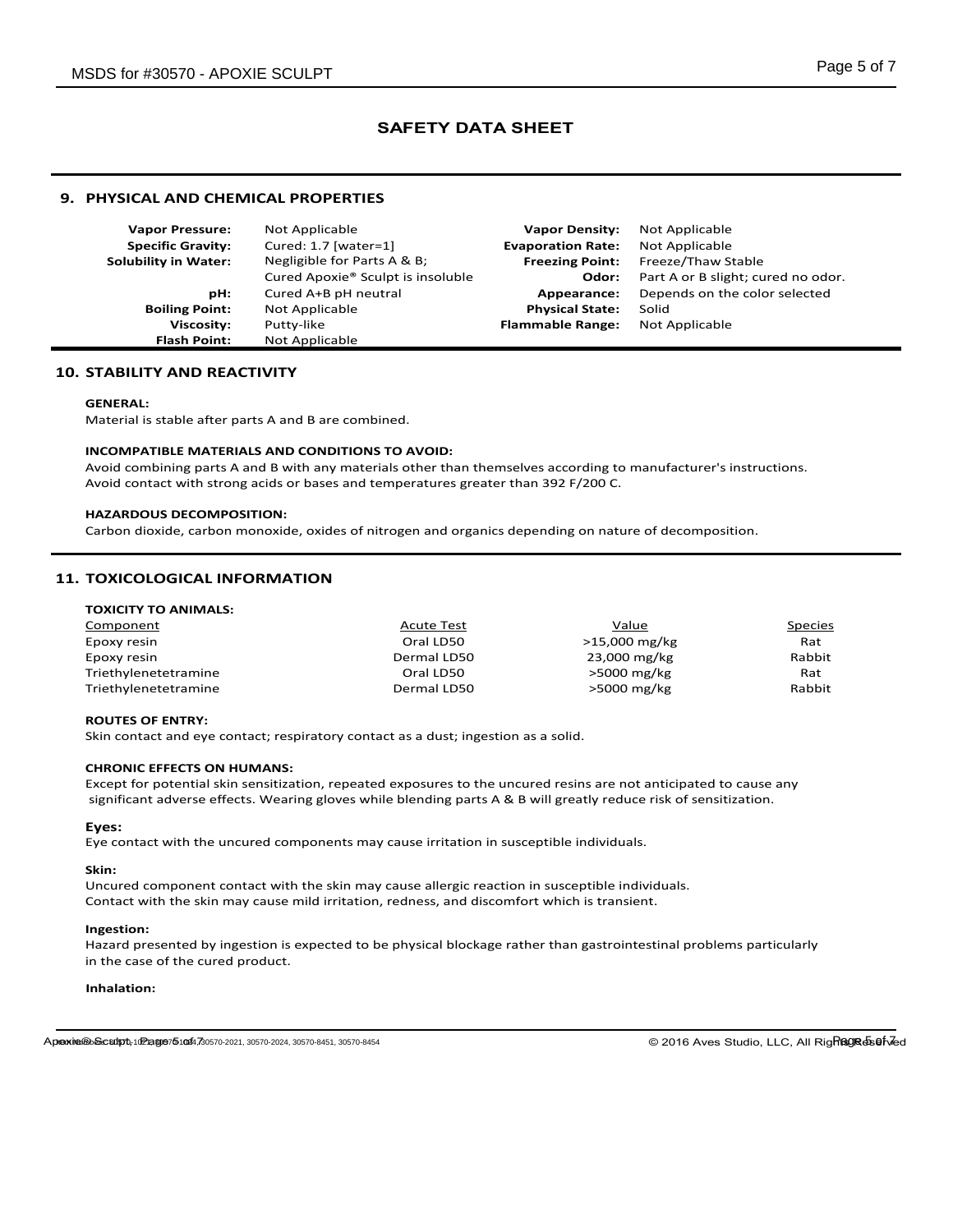## **9. PHYSICAL AND CHEMICAL PROPERTIES**

| <b>Vapor Pressure:</b>      | Not Applicable                                | <b>Vapor Density:</b>    | Not Applicable                     |
|-----------------------------|-----------------------------------------------|--------------------------|------------------------------------|
| <b>Specific Gravity:</b>    | Cured: 1.7 [water=1]                          | <b>Evaporation Rate:</b> | Not Applicable                     |
| <b>Solubility in Water:</b> | Negligible for Parts A & B;                   | <b>Freezing Point:</b>   | Freeze/Thaw Stable                 |
|                             | Cured Apoxie <sup>®</sup> Sculpt is insoluble | Odor:                    | Part A or B slight; cured no odor. |
| pH:                         | Cured A+B pH neutral                          | Appearance:              | Depends on the color selected      |
| <b>Boiling Point:</b>       | Not Applicable                                | <b>Physical State:</b>   | Solid                              |
| <b>Viscosity:</b>           | Putty-like                                    | <b>Flammable Range:</b>  | Not Applicable                     |
| <b>Flash Point:</b>         | Not Applicable                                |                          |                                    |

## **10. STABILITY AND REACTIVITY**

#### **GENERAL:**

Material is stable after parts A and B are combined.

## **INCOMPATIBLE MATERIALS AND CONDITIONS TO AVOID:**

Avoid combining parts A and B with any materials other than themselves according to manufacturer's instructions. Avoid contact with strong acids or bases and temperatures greater than 392 F/200 C.

## **HAZARDOUS DECOMPOSITION:**

Carbon dioxide, carbon monoxide, oxides of nitrogen and organics depending on nature of decomposition.

## **11. TOXICOLOGICAL INFORMATION**

| Component            | <b>Acute Test</b> | Value         | Species |
|----------------------|-------------------|---------------|---------|
| Epoxy resin          | Oral LD50         | >15,000 mg/kg | Rat     |
| Epoxy resin          | Dermal LD50       | 23,000 mg/kg  | Rabbit  |
| Triethylenetetramine | Oral LD50         | >5000 mg/kg   | Rat     |
| Triethylenetetramine | Dermal LD50       | $>5000$ mg/kg | Rabbit  |

## **ROUTES OF ENTRY:**

Skin contact and eye contact; respiratory contact as a dust; ingestion as a solid.

## **CHRONIC EFFECTS ON HUMANS:**

Except for potential skin sensitization, repeated exposures to the uncured resins are not anticipated to cause any significant adverse effects. Wearing gloves while blending parts A & B will greatly reduce risk of sensitization.

## **Eyes:**

Eye contact with the uncured components may cause irritation in susceptible individuals.

#### **Skin:**

Uncured component contact with the skin may cause allergic reaction in susceptible individuals. Contact with the skin may cause mild irritation, redness, and discomfort which is transient.

#### **Ingestion:**

Hazard presented by ingestion is expected to be physical blockage rather than gastrointestinal problems particularly in the case of the cured product.

#### **Inhalation:**

© 2016 Aves Studio, LLC, All RigRagra&sefved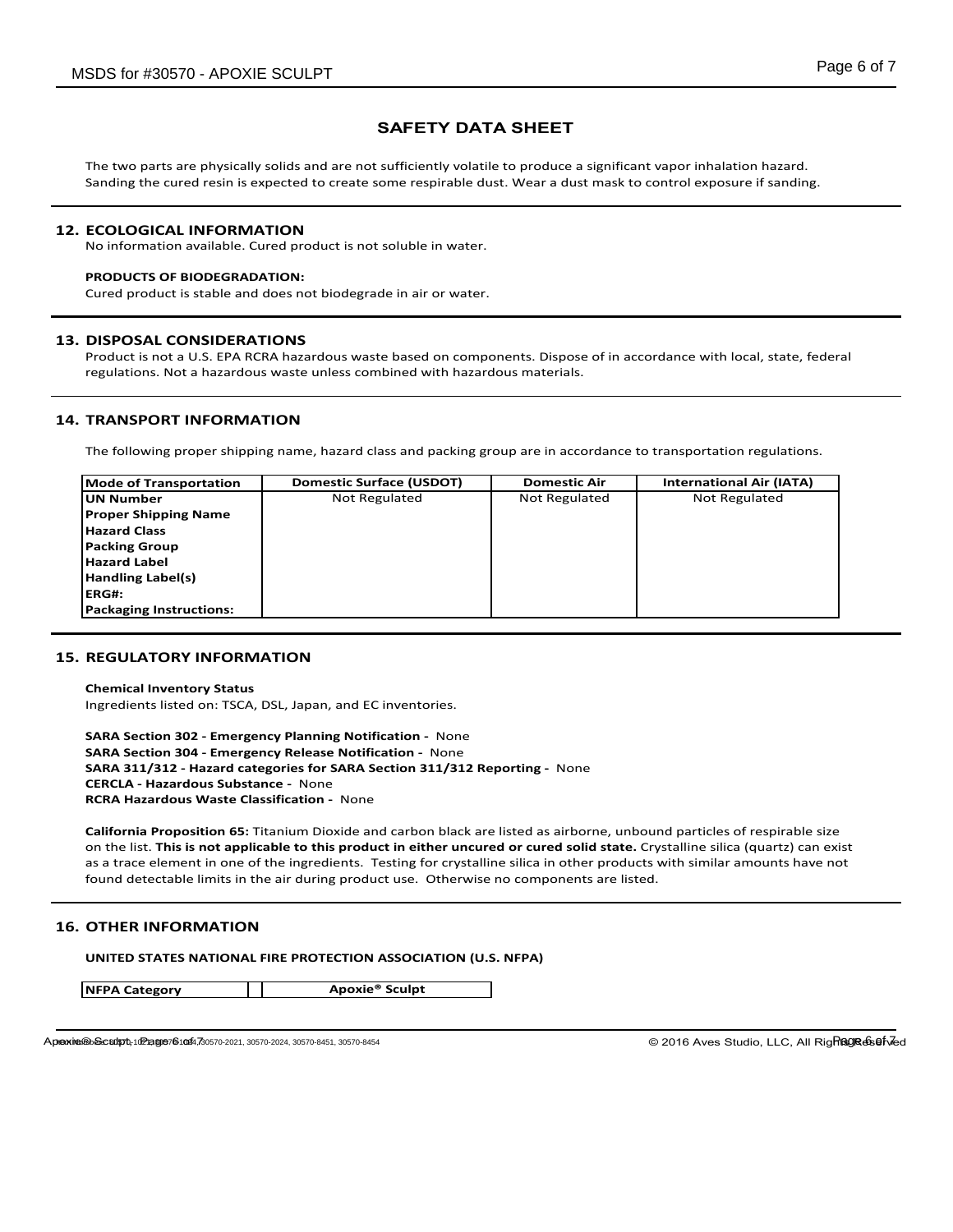The two parts are physically solids and are not sufficiently volatile to produce a significant vapor inhalation hazard. Sanding the cured resin is expected to create some respirable dust. Wear a dust mask to control exposure if sanding.

## **12. ECOLOGICAL INFORMATION**

No information available. Cured product is not soluble in water.

## **PRODUCTS OF BIODEGRADATION:**

Cured product is stable and does not biodegrade in air or water.

## **13. DISPOSAL CONSIDERATIONS**

Product is not a U.S. EPA RCRA hazardous waste based on components. Dispose of in accordance with local, state, federal regulations. Not a hazardous waste unless combined with hazardous materials.

## **14. TRANSPORT INFORMATION**

The following proper shipping name, hazard class and packing group are in accordance to transportation regulations.

| <b>Mode of Transportation</b>  | <b>Domestic Surface (USDOT)</b> | <b>Domestic Air</b>  | <b>International Air (IATA)</b> |
|--------------------------------|---------------------------------|----------------------|---------------------------------|
| lUN Number                     | Not Regulated                   | <b>Not Regulated</b> | <b>Not Regulated</b>            |
| <b>Proper Shipping Name</b>    |                                 |                      |                                 |
| <b>Hazard Class</b>            |                                 |                      |                                 |
| <b>Packing Group</b>           |                                 |                      |                                 |
| <b>Hazard Label</b>            |                                 |                      |                                 |
| Handling Label(s)              |                                 |                      |                                 |
| <b>IERG#:</b>                  |                                 |                      |                                 |
| <b>Packaging Instructions:</b> |                                 |                      |                                 |

## **15. REGULATORY INFORMATION**

**Chemical Inventory Status** Ingredients listed on: TSCA, DSL, Japan, and EC inventories.

**SARA Section 302 - Emergency Planning Notification -** None **SARA Section 304 - Emergency Release Notification -** None **SARA 311/312 - Hazard categories for SARA Section 311/312 Reporting -** None **CERCLA - Hazardous Substance -** None **RCRA Hazardous Waste Classification -** None

**California Proposition 65:** Titanium Dioxide and carbon black are listed as airborne, unbound particles of respirable size on the list. **This is not applicable to this product in either uncured or cured solid state.** Crystalline silica (quartz) can exist as a trace element in one of the ingredients. Testing for crystalline silica in other products with similar amounts have not found detectable limits in the air during product use. Otherwise no components are listed.

## **16. OTHER INFORMATION**

**UNITED STATES NATIONAL FIRE PROTECTION ASSOCIATION (U.S. NFPA)** 

**NFPA Category Apoxie® Sculpt**

Apoxie® Sculpt, 102 age 76 1044, 30570-2021, 30570-2024, 30570-8451, 30570-8454

© 2016 Aves Studio, LLC, All RigRagrasefved